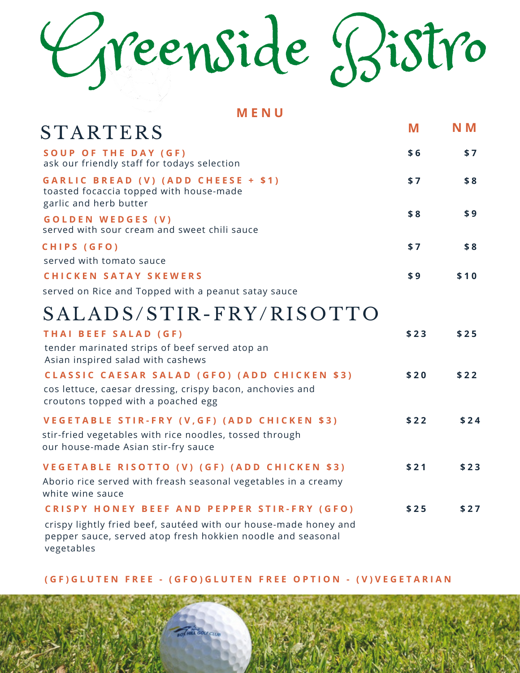# Greenside Bistro

**M E N U**

| STARTERS                                                                                                                                        | M    | N M  |
|-------------------------------------------------------------------------------------------------------------------------------------------------|------|------|
| SOUP OF THE DAY (GF)<br>ask our friendly staff for todays selection                                                                             | \$6  | \$7  |
| GARLIC BREAD (V) (ADD CHEESE + \$1)<br>toasted focaccia topped with house-made<br>garlic and herb butter                                        | \$7  | \$8  |
| <b>GOLDEN WEDGES (V)</b><br>served with sour cream and sweet chili sauce                                                                        | \$8  | \$9  |
| CHIPS (GFO)<br>served with tomato sauce                                                                                                         | \$7  | \$8  |
| <b>CHICKEN SATAY SKEWERS</b>                                                                                                                    | \$9  | \$10 |
| served on Rice and Topped with a peanut satay sauce                                                                                             |      |      |
| SALADS/STIR-FRY/RISOTTO                                                                                                                         |      |      |
| THAI BEEF SALAD (GF)                                                                                                                            | \$23 | \$25 |
| tender marinated strips of beef served atop an<br>Asian inspired salad with cashews                                                             |      |      |
| CLASSIC CAESAR SALAD (GFO) (ADD CHICKEN \$3)<br>cos lettuce, caesar dressing, crispy bacon, anchovies and<br>croutons topped with a poached egg | \$20 | \$22 |
| VEGETABLE STIR-FRY (V, GF) (ADD CHICKEN \$3)<br>stir-fried vegetables with rice noodles, tossed through<br>our house-made Asian stir-fry sauce  | \$22 | \$24 |
| VEGETABLE RISOTTO (V) (GF) (ADD CHICKEN \$3)<br>Aborio rice served with freash seasonal vegetables in a creamy<br>white wine sauce              | \$21 | \$23 |
| <b>CRISPY HONEY BEEF AND PEPPER STIR-FRY (GFO)</b>                                                                                              | \$25 | \$27 |
| crispy lightly fried beef, sautéed with our house-made honey and<br>pepper sauce, served atop fresh hokkien noodle and seasonal<br>vegetables   |      |      |

(GF) GLUTEN FREE - (GFO) GLUTEN FREE OPTION - (V) VEGETARIAN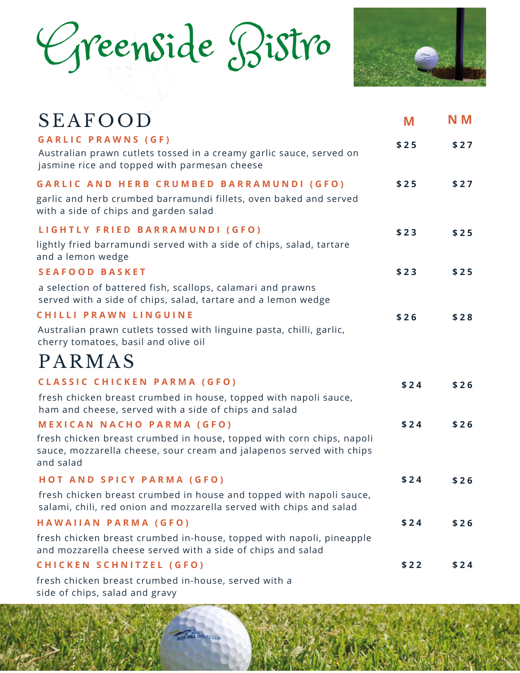## Greenside Bistro



| <b>SEAFOOD</b>                                                                                                                                                                                                                                                        | M    | N M  |
|-----------------------------------------------------------------------------------------------------------------------------------------------------------------------------------------------------------------------------------------------------------------------|------|------|
| <b>GARLIC PRAWNS (GF)</b><br>Australian prawn cutlets tossed in a creamy garlic sauce, served on<br>jasmine rice and topped with parmesan cheese                                                                                                                      | \$25 | \$27 |
| GARLIC AND HERB CRUMBED BARRAMUNDI (GFO)<br>garlic and herb crumbed barramundi fillets, oven baked and served<br>with a side of chips and garden salad                                                                                                                | \$25 | \$27 |
| LIGHTLY FRIED BARRAMUNDI (GFO)<br>lightly fried barramundi served with a side of chips, salad, tartare<br>and a lemon wedge                                                                                                                                           | \$23 | \$25 |
| <b>SEAFOOD BASKET</b>                                                                                                                                                                                                                                                 | \$23 | \$25 |
| a selection of battered fish, scallops, calamari and prawns<br>served with a side of chips, salad, tartare and a lemon wedge<br>CHILLI PRAWN LINGUINE<br>Australian prawn cutlets tossed with linguine pasta, chilli, garlic,<br>cherry tomatoes, basil and olive oil | \$26 | \$28 |
| PARMAS                                                                                                                                                                                                                                                                |      |      |
| CLASSIC CHICKEN PARMA (GFO)<br>fresh chicken breast crumbed in house, topped with napoli sauce,<br>ham and cheese, served with a side of chips and salad                                                                                                              | \$24 | \$26 |
| <b>MEXICAN NACHO PARMA (GFO)</b><br>fresh chicken breast crumbed in house, topped with corn chips, napoli<br>sauce, mozzarella cheese, sour cream and jalapenos served with chips<br>and salad                                                                        | \$24 | \$26 |
| HOT AND SPICY PARMA (GFO)                                                                                                                                                                                                                                             | \$24 | \$26 |
| fresh chicken breast crumbed in house and topped with napoli sauce,<br>salami, chili, red onion and mozzarella served with chips and salad                                                                                                                            |      |      |
| HAWAIIAN PARMA (GFO)                                                                                                                                                                                                                                                  | \$24 | \$26 |
| fresh chicken breast crumbed in-house, topped with napoli, pineapple<br>and mozzarella cheese served with a side of chips and salad                                                                                                                                   |      |      |
| CHICKEN SCHNITZEL (GFO)                                                                                                                                                                                                                                               | \$22 | \$24 |
| fresh chicken breast crumbed in-house, served with a                                                                                                                                                                                                                  |      |      |

side of chips, salad and gravy

at cou cun